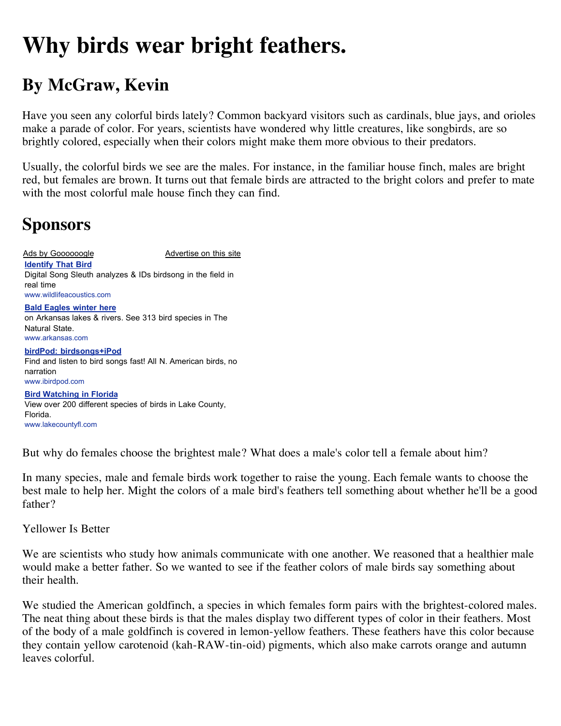## **Why birds wear bright feathers.**

## **By McGraw, Kevin**

Have you seen any colorful birds lately? Common backyard visitors such as cardinals, blue jays, and orioles make a parade of color. For years, scientists have wondered why little creatures, like songbirds, are so brightly colored, especially when their colors might make them more obvious to their predators.

Usually, the colorful birds we see are the males. For instance, in the familiar house finch, males are bright red, but females are brown. It turns out that female birds are attracted to the bright colors and prefer to mate with the most colorful male house finch they can find.

## **Sponsors**

Ads by Goooooogle Advertise on this site **Identify That Bird** Digital Song Sleuth analyzes & IDs birdsong in the field in real time www.wildlifeacoustics.com **Bald Eagles winter here** on Arkansas lakes & rivers. See 313 bird species in The Natural State.

www.arkansas.com **birdPod: birdsongs+iPod** Find and listen to bird songs fast! All N. American birds, no narration

www.ibirdpod.com **Bird Watching in Florida** View over 200 different species of birds in Lake County, Florida. www.lakecountyfl.com

But why do females choose the brightest male? What does a male's color tell a female about him?

In many species, male and female birds work together to raise the young. Each female wants to choose the best male to help her. Might the colors of a male bird's feathers tell something about whether he'll be a good father?

Yellower Is Better

We are scientists who study how animals communicate with one another. We reasoned that a healthier male would make a better father. So we wanted to see if the feather colors of male birds say something about their health.

We studied the American goldfinch, a species in which females form pairs with the brightest-colored males. The neat thing about these birds is that the males display two different types of color in their feathers. Most of the body of a male goldfinch is covered in lemon-yellow feathers. These feathers have this color because they contain yellow carotenoid (kah-RAW-tin-oid) pigments, which also make carrots orange and autumn leaves colorful.